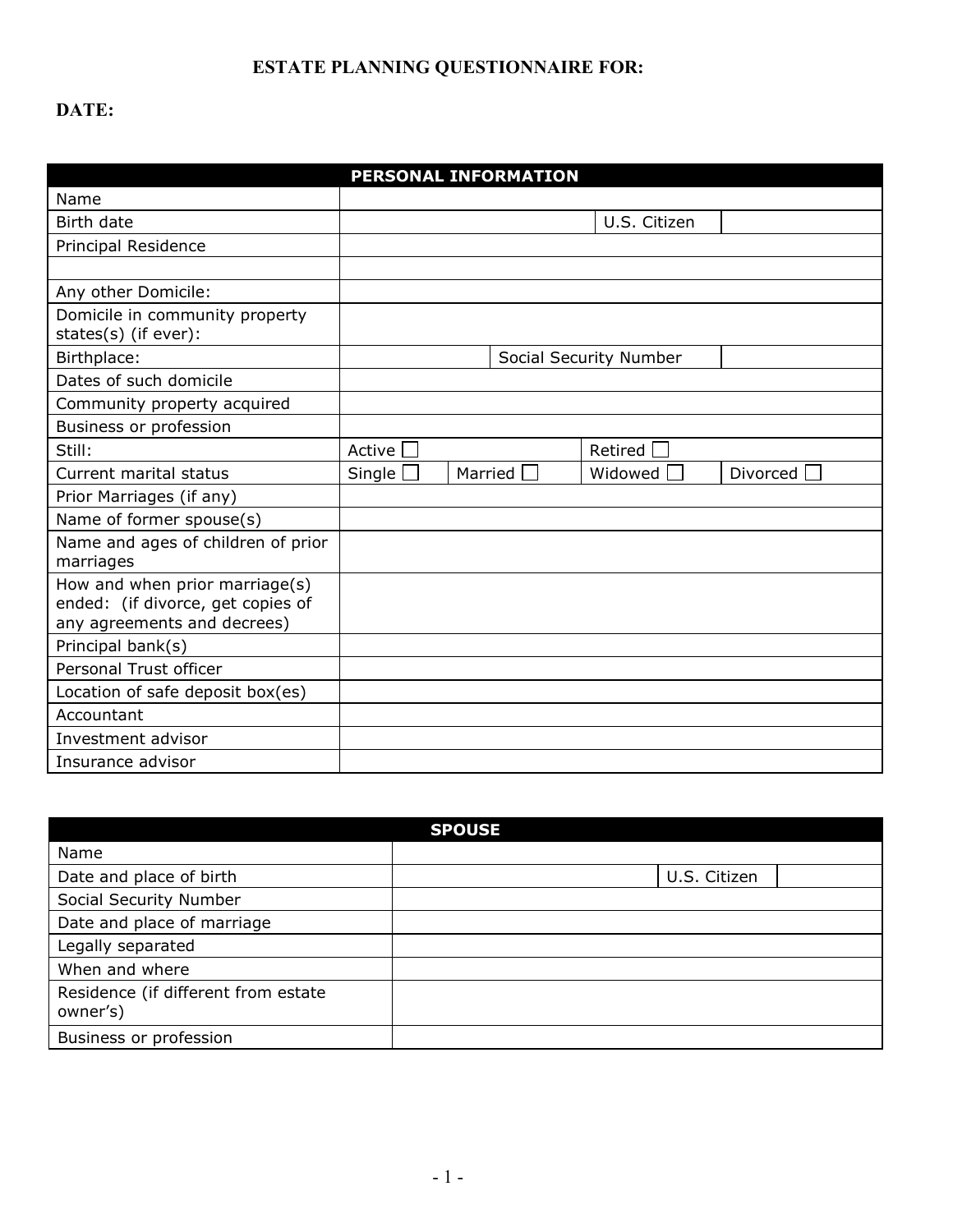## **ESTATE PLANNING QUESTIONNAIRE FOR:**

## **DATE:**

|                                                                                                    |        |         | <b>PERSONAL INFORMATION</b> |                        |            |
|----------------------------------------------------------------------------------------------------|--------|---------|-----------------------------|------------------------|------------|
| Name                                                                                               |        |         |                             |                        |            |
| Birth date                                                                                         |        |         |                             | U.S. Citizen           |            |
| Principal Residence                                                                                |        |         |                             |                        |            |
|                                                                                                    |        |         |                             |                        |            |
| Any other Domicile:                                                                                |        |         |                             |                        |            |
| Domicile in community property<br>states(s) (if ever):                                             |        |         |                             |                        |            |
| Birthplace:                                                                                        |        |         |                             | Social Security Number |            |
| Dates of such domicile                                                                             |        |         |                             |                        |            |
| Community property acquired                                                                        |        |         |                             |                        |            |
| Business or profession                                                                             |        |         |                             |                        |            |
| Still:                                                                                             | Active |         |                             | Retired                |            |
| Current marital status                                                                             | Single | Married |                             | Widowed                | Divorced I |
| Prior Marriages (if any)                                                                           |        |         |                             |                        |            |
| Name of former spouse(s)                                                                           |        |         |                             |                        |            |
| Name and ages of children of prior<br>marriages                                                    |        |         |                             |                        |            |
| How and when prior marriage(s)<br>ended: (if divorce, get copies of<br>any agreements and decrees) |        |         |                             |                        |            |
| Principal bank(s)                                                                                  |        |         |                             |                        |            |
| Personal Trust officer                                                                             |        |         |                             |                        |            |
| Location of safe deposit box(es)                                                                   |        |         |                             |                        |            |
| Accountant                                                                                         |        |         |                             |                        |            |
| Investment advisor                                                                                 |        |         |                             |                        |            |
| Insurance advisor                                                                                  |        |         |                             |                        |            |

|                                                 | <b>SPOUSE</b> |
|-------------------------------------------------|---------------|
| Name                                            |               |
| Date and place of birth                         | U.S. Citizen  |
| Social Security Number                          |               |
| Date and place of marriage                      |               |
| Legally separated                               |               |
| When and where                                  |               |
| Residence (if different from estate<br>owner's) |               |
| Business or profession                          |               |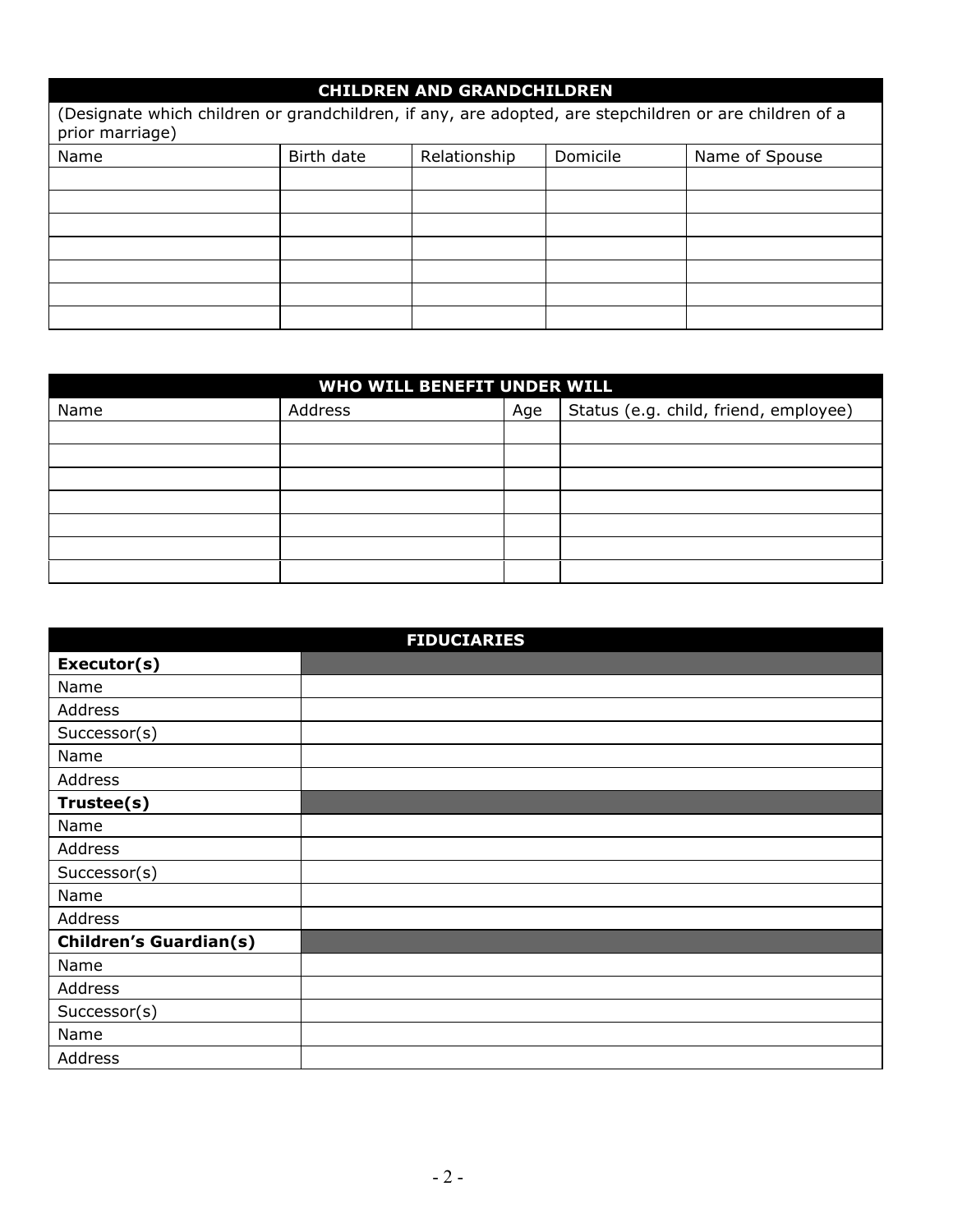| <b>CHILDREN AND GRANDCHILDREN</b>                                                                                         |            |              |          |                |  |  |
|---------------------------------------------------------------------------------------------------------------------------|------------|--------------|----------|----------------|--|--|
| (Designate which children or grandchildren, if any, are adopted, are stepchildren or are children of a<br>prior marriage) |            |              |          |                |  |  |
| Name                                                                                                                      | Birth date | Relationship | Domicile | Name of Spouse |  |  |
|                                                                                                                           |            |              |          |                |  |  |
|                                                                                                                           |            |              |          |                |  |  |
|                                                                                                                           |            |              |          |                |  |  |
|                                                                                                                           |            |              |          |                |  |  |
|                                                                                                                           |            |              |          |                |  |  |
|                                                                                                                           |            |              |          |                |  |  |
|                                                                                                                           |            |              |          |                |  |  |

| WHO WILL BENEFIT UNDER WILL |         |     |                                       |  |  |
|-----------------------------|---------|-----|---------------------------------------|--|--|
| Name                        | Address | Age | Status (e.g. child, friend, employee) |  |  |
|                             |         |     |                                       |  |  |
|                             |         |     |                                       |  |  |
|                             |         |     |                                       |  |  |
|                             |         |     |                                       |  |  |
|                             |         |     |                                       |  |  |
|                             |         |     |                                       |  |  |
|                             |         |     |                                       |  |  |

| <b>FIDUCIARIES</b>            |  |  |  |  |  |
|-------------------------------|--|--|--|--|--|
| Executor(s)                   |  |  |  |  |  |
| Name                          |  |  |  |  |  |
| Address                       |  |  |  |  |  |
| Successor(s)                  |  |  |  |  |  |
| Name                          |  |  |  |  |  |
| Address                       |  |  |  |  |  |
| Trustee(s)                    |  |  |  |  |  |
| Name                          |  |  |  |  |  |
| Address                       |  |  |  |  |  |
| Successor(s)                  |  |  |  |  |  |
| Name                          |  |  |  |  |  |
| Address                       |  |  |  |  |  |
| <b>Children's Guardian(s)</b> |  |  |  |  |  |
| Name                          |  |  |  |  |  |
| Address                       |  |  |  |  |  |
| Successor(s)                  |  |  |  |  |  |
| Name                          |  |  |  |  |  |
| Address                       |  |  |  |  |  |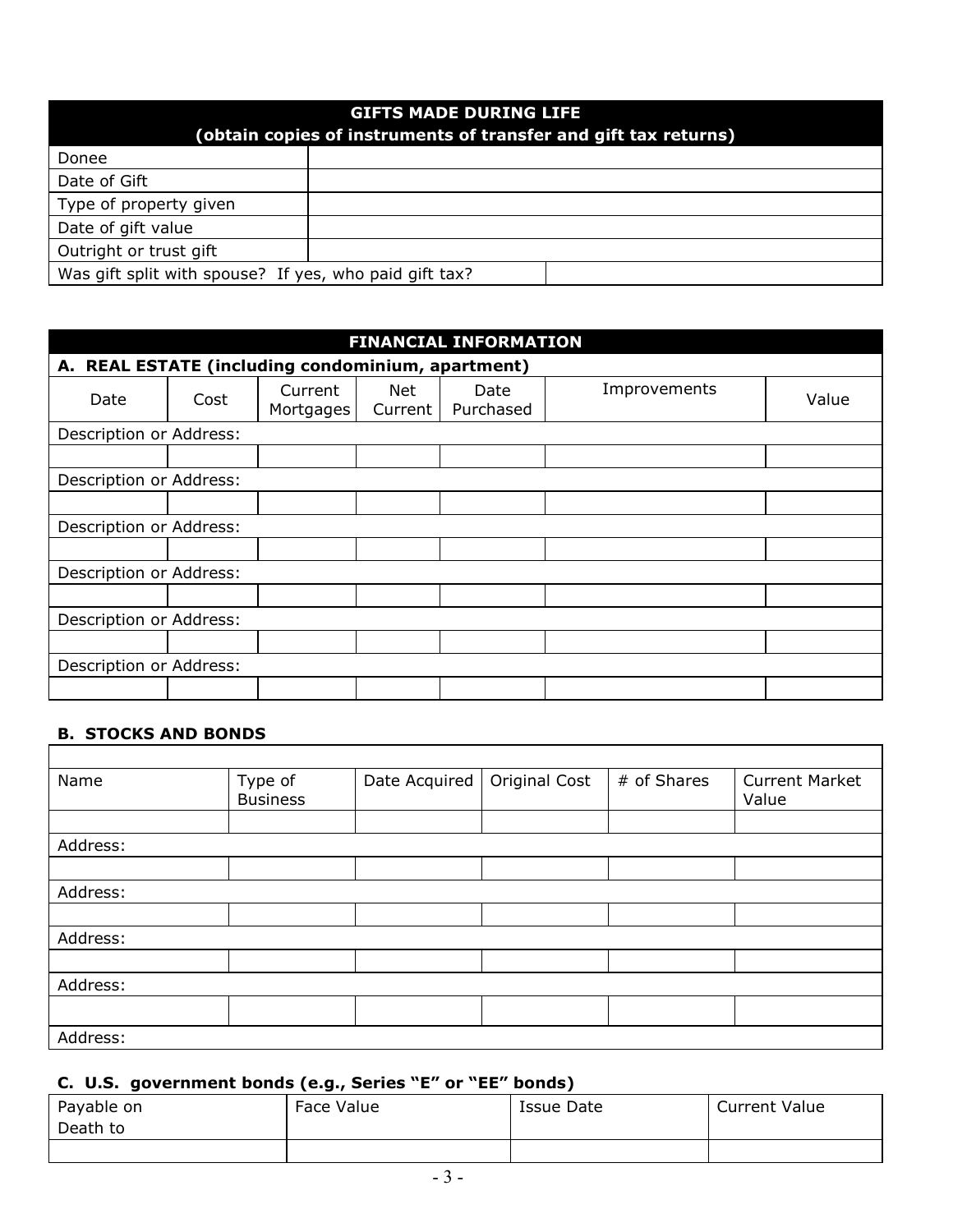| <b>GIFTS MADE DURING LIFE</b><br>(obtain copies of instruments of transfer and gift tax returns) |  |  |  |  |  |
|--------------------------------------------------------------------------------------------------|--|--|--|--|--|
| Donee                                                                                            |  |  |  |  |  |
| Date of Gift                                                                                     |  |  |  |  |  |
| Type of property given                                                                           |  |  |  |  |  |
| Date of gift value                                                                               |  |  |  |  |  |
| Outright or trust gift                                                                           |  |  |  |  |  |
| Was gift split with spouse? If yes, who paid gift tax?                                           |  |  |  |  |  |

| <b>FINANCIAL INFORMATION</b>                      |                         |                      |                |                   |              |       |
|---------------------------------------------------|-------------------------|----------------------|----------------|-------------------|--------------|-------|
| A. REAL ESTATE (including condominium, apartment) |                         |                      |                |                   |              |       |
| Date                                              | Cost                    | Current<br>Mortgages | Net<br>Current | Date<br>Purchased | Improvements | Value |
| Description or Address:                           |                         |                      |                |                   |              |       |
|                                                   |                         |                      |                |                   |              |       |
| Description or Address:                           |                         |                      |                |                   |              |       |
|                                                   |                         |                      |                |                   |              |       |
| Description or Address:                           |                         |                      |                |                   |              |       |
|                                                   |                         |                      |                |                   |              |       |
|                                                   | Description or Address: |                      |                |                   |              |       |
|                                                   |                         |                      |                |                   |              |       |
| Description or Address:                           |                         |                      |                |                   |              |       |
|                                                   |                         |                      |                |                   |              |       |
| Description or Address:                           |                         |                      |                |                   |              |       |
|                                                   |                         |                      |                |                   |              |       |

# **B. STOCKS AND BONDS**

| Name     | Type of<br><b>Business</b> | Date Acquired | Original Cost | # of Shares | <b>Current Market</b><br>Value |  |  |
|----------|----------------------------|---------------|---------------|-------------|--------------------------------|--|--|
|          |                            |               |               |             |                                |  |  |
| Address: |                            |               |               |             |                                |  |  |
|          |                            |               |               |             |                                |  |  |
| Address: |                            |               |               |             |                                |  |  |
|          |                            |               |               |             |                                |  |  |
| Address: |                            |               |               |             |                                |  |  |
|          |                            |               |               |             |                                |  |  |
| Address: |                            |               |               |             |                                |  |  |
|          |                            |               |               |             |                                |  |  |
| Address: |                            |               |               |             |                                |  |  |

## **C. U.S. government bonds (e.g., Series "E" or "EE" bonds)**

| -- ----    |            |            |                      |  |  |  |
|------------|------------|------------|----------------------|--|--|--|
| Payable on | Face Value | Issue Date | <b>Current Value</b> |  |  |  |
| Death to   |            |            |                      |  |  |  |
|            |            |            |                      |  |  |  |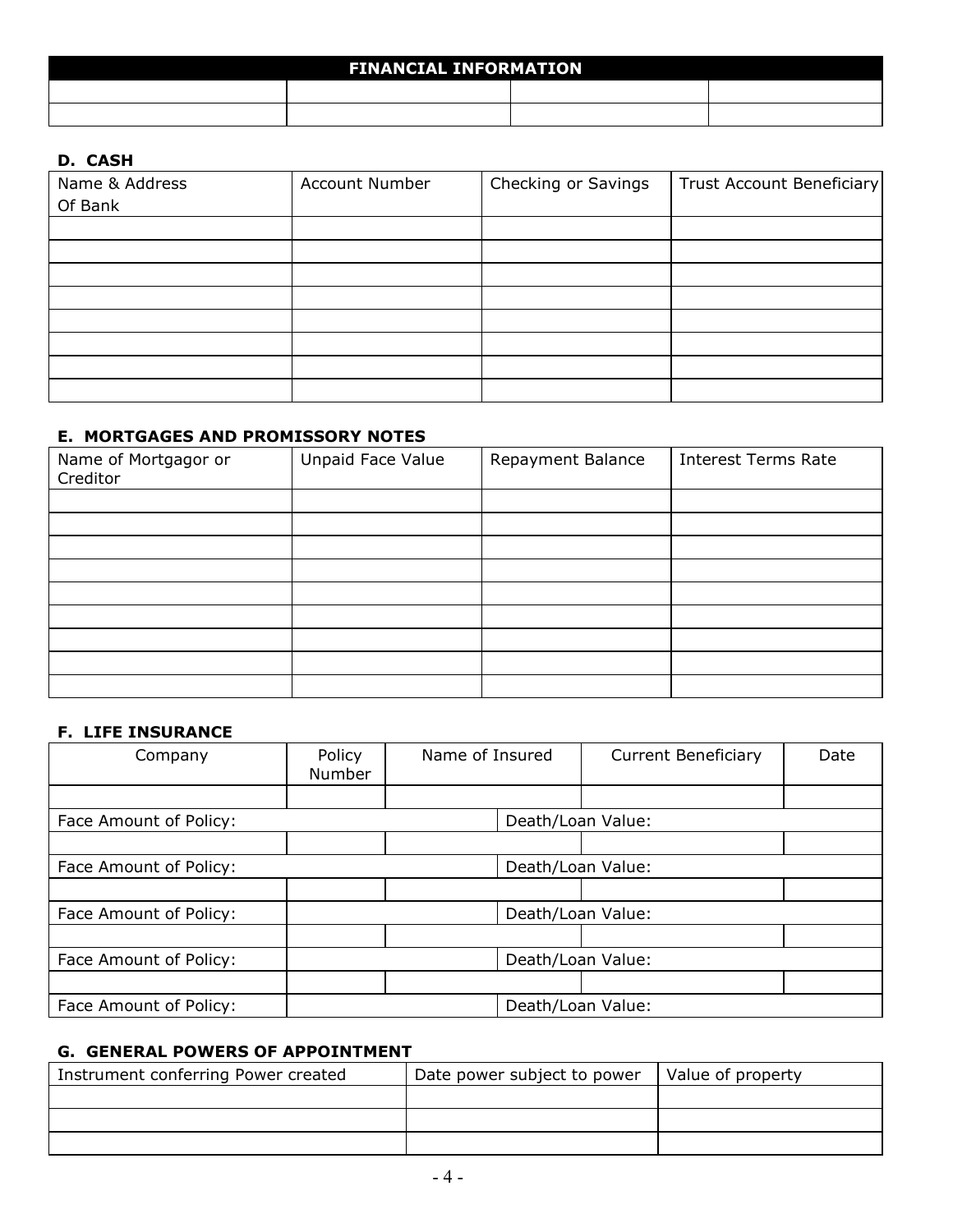| <b>FINANCIAL INFORMATION</b> |  |  |  |  |  |
|------------------------------|--|--|--|--|--|
|                              |  |  |  |  |  |
|                              |  |  |  |  |  |

#### **D. CASH**

| Name & Address<br>Of Bank | <b>Account Number</b> | Checking or Savings | <b>Trust Account Beneficiary</b> |
|---------------------------|-----------------------|---------------------|----------------------------------|
|                           |                       |                     |                                  |
|                           |                       |                     |                                  |
|                           |                       |                     |                                  |
|                           |                       |                     |                                  |
|                           |                       |                     |                                  |
|                           |                       |                     |                                  |
|                           |                       |                     |                                  |
|                           |                       |                     |                                  |

#### **E. MORTGAGES AND PROMISSORY NOTES**

| Name of Mortgagor or<br>Creditor | Unpaid Face Value | Repayment Balance | <b>Interest Terms Rate</b> |
|----------------------------------|-------------------|-------------------|----------------------------|
|                                  |                   |                   |                            |
|                                  |                   |                   |                            |
|                                  |                   |                   |                            |
|                                  |                   |                   |                            |
|                                  |                   |                   |                            |
|                                  |                   |                   |                            |
|                                  |                   |                   |                            |
|                                  |                   |                   |                            |
|                                  |                   |                   |                            |

### **F. LIFE INSURANCE**

| Company                | Policy<br>Number  | Name of Insured   |                   | <b>Current Beneficiary</b> | Date |
|------------------------|-------------------|-------------------|-------------------|----------------------------|------|
|                        |                   |                   |                   |                            |      |
| Face Amount of Policy: |                   |                   |                   | Death/Loan Value:          |      |
|                        |                   |                   |                   |                            |      |
| Face Amount of Policy: |                   |                   | Death/Loan Value: |                            |      |
|                        |                   |                   |                   |                            |      |
| Face Amount of Policy: |                   |                   | Death/Loan Value: |                            |      |
|                        |                   |                   |                   |                            |      |
| Face Amount of Policy: | Death/Loan Value: |                   |                   |                            |      |
|                        |                   |                   |                   |                            |      |
| Face Amount of Policy: |                   | Death/Loan Value: |                   |                            |      |

## **G. GENERAL POWERS OF APPOINTMENT**

| Instrument conferring Power created | Date power subject to power | Value of property |
|-------------------------------------|-----------------------------|-------------------|
|                                     |                             |                   |
|                                     |                             |                   |
|                                     |                             |                   |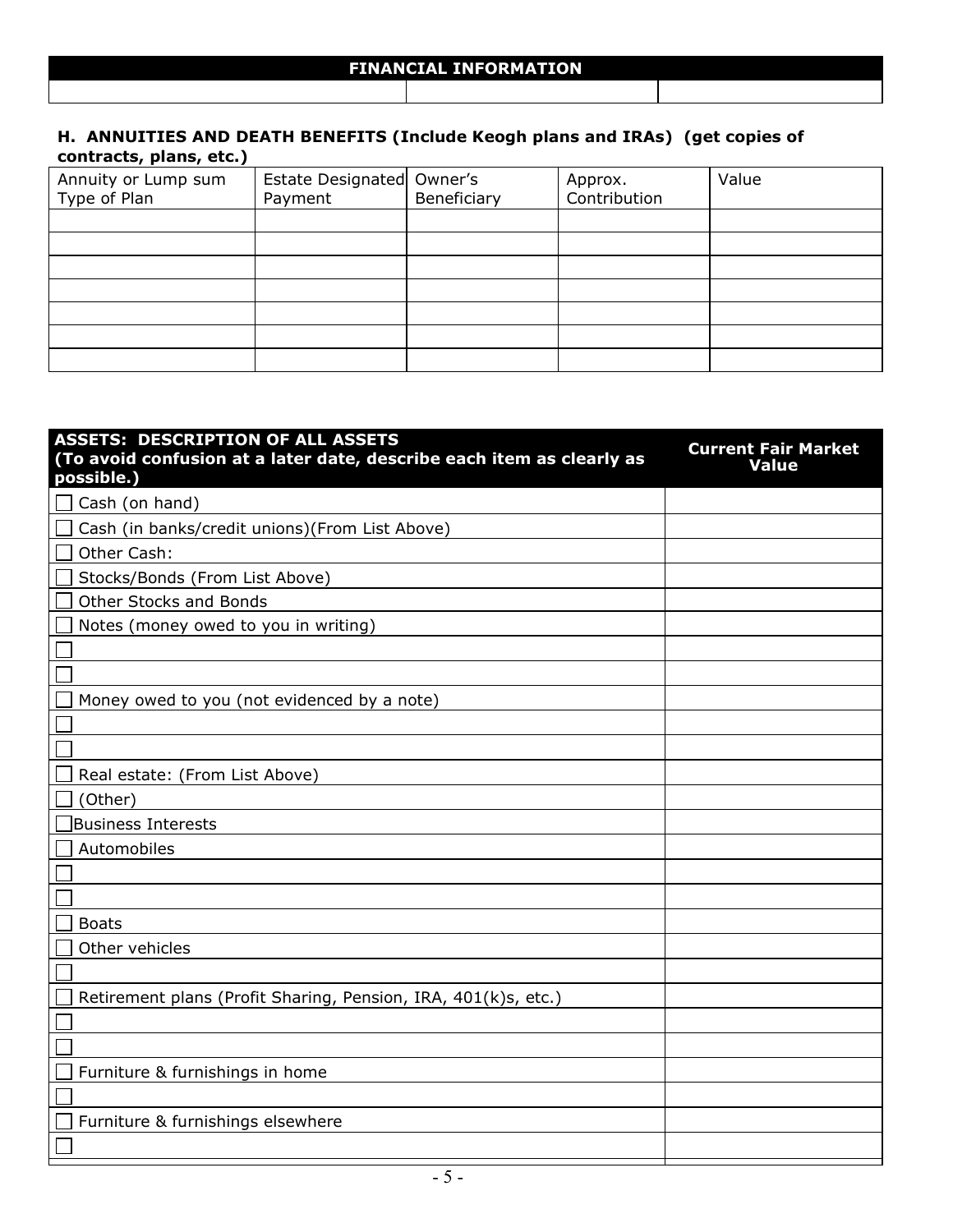#### **H. ANNUITIES AND DEATH BENEFITS (Include Keogh plans and IRAs) (get copies of contracts, plans, etc.)**

| Annuity or Lump sum<br>Type of Plan | Estate Designated Owner's<br>Payment | Beneficiary | Approx.<br>Contribution | Value |
|-------------------------------------|--------------------------------------|-------------|-------------------------|-------|
|                                     |                                      |             |                         |       |
|                                     |                                      |             |                         |       |
|                                     |                                      |             |                         |       |
|                                     |                                      |             |                         |       |
|                                     |                                      |             |                         |       |
|                                     |                                      |             |                         |       |
|                                     |                                      |             |                         |       |

| <b>ASSETS: DESCRIPTION OF ALL ASSETS</b><br>(To avoid confusion at a later date, describe each item as clearly as<br>possible.) | <b>Current Fair Market</b><br><b>Value</b> |
|---------------------------------------------------------------------------------------------------------------------------------|--------------------------------------------|
| Cash (on hand)                                                                                                                  |                                            |
| Cash (in banks/credit unions)(From List Above)                                                                                  |                                            |
| Other Cash:                                                                                                                     |                                            |
| Stocks/Bonds (From List Above)                                                                                                  |                                            |
| Other Stocks and Bonds                                                                                                          |                                            |
| Notes (money owed to you in writing)                                                                                            |                                            |
|                                                                                                                                 |                                            |
|                                                                                                                                 |                                            |
| Money owed to you (not evidenced by a note)                                                                                     |                                            |
|                                                                                                                                 |                                            |
|                                                                                                                                 |                                            |
| Real estate: (From List Above)                                                                                                  |                                            |
| (Other)                                                                                                                         |                                            |
| <b>Business Interests</b>                                                                                                       |                                            |
| Automobiles                                                                                                                     |                                            |
|                                                                                                                                 |                                            |
|                                                                                                                                 |                                            |
| <b>Boats</b>                                                                                                                    |                                            |
| Other vehicles                                                                                                                  |                                            |
|                                                                                                                                 |                                            |
| Retirement plans (Profit Sharing, Pension, IRA, 401(k)s, etc.)                                                                  |                                            |
|                                                                                                                                 |                                            |
|                                                                                                                                 |                                            |
| Furniture & furnishings in home                                                                                                 |                                            |
|                                                                                                                                 |                                            |
| Furniture & furnishings elsewhere                                                                                               |                                            |
|                                                                                                                                 |                                            |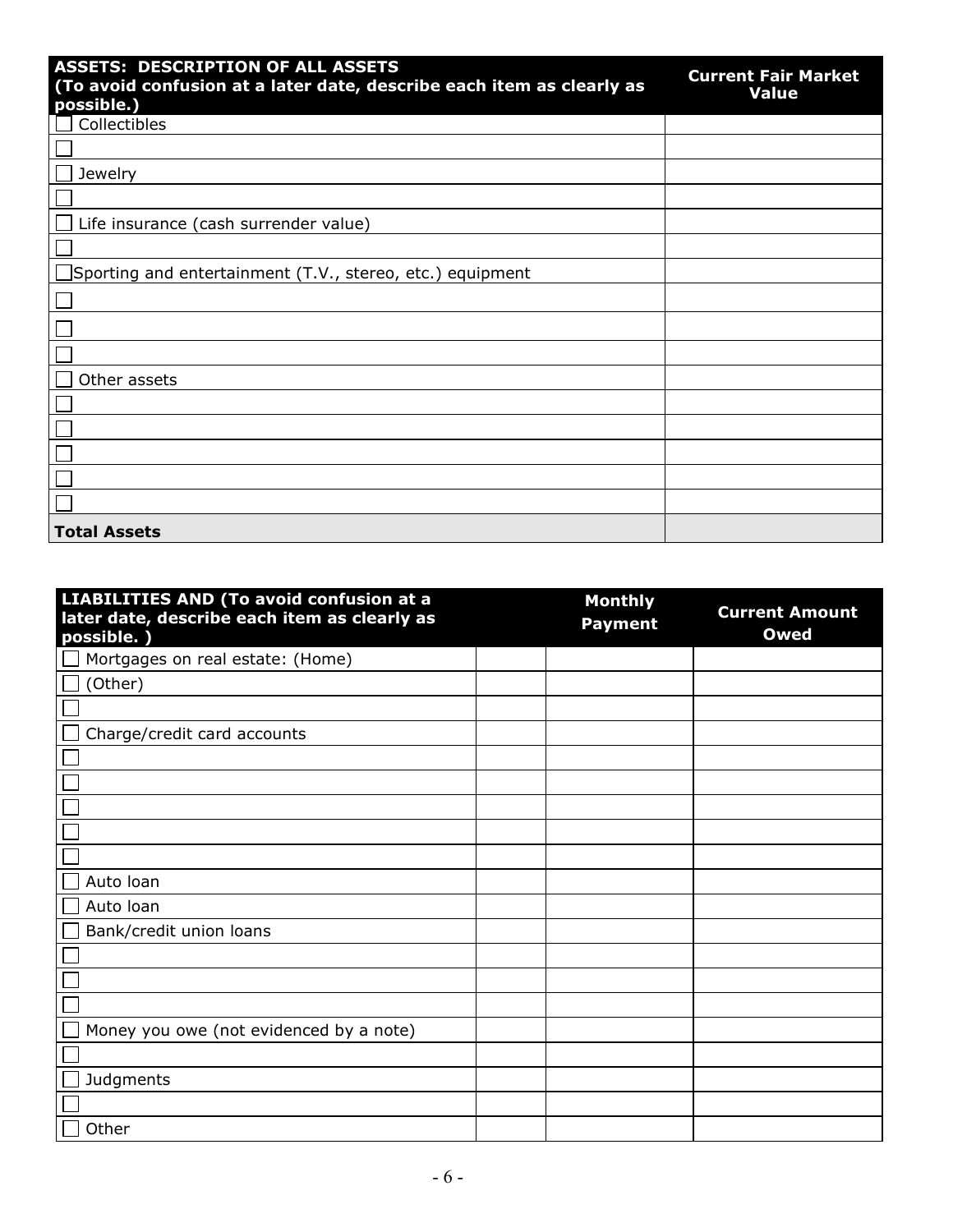| <b>ASSETS: DESCRIPTION OF ALL ASSETS</b><br>(To avoid confusion at a later date, describe each item as clearly as | <b>Current Fair Market</b><br><b>Value</b> |
|-------------------------------------------------------------------------------------------------------------------|--------------------------------------------|
| possible.)                                                                                                        |                                            |
| Collectibles                                                                                                      |                                            |
|                                                                                                                   |                                            |
| Jewelry                                                                                                           |                                            |
|                                                                                                                   |                                            |
| Life insurance (cash surrender value)                                                                             |                                            |
|                                                                                                                   |                                            |
| $\Box$ Sporting and entertainment (T.V., stereo, etc.) equipment                                                  |                                            |
|                                                                                                                   |                                            |
|                                                                                                                   |                                            |
|                                                                                                                   |                                            |
| Other assets                                                                                                      |                                            |
|                                                                                                                   |                                            |
|                                                                                                                   |                                            |
|                                                                                                                   |                                            |
|                                                                                                                   |                                            |
|                                                                                                                   |                                            |
| <b>Total Assets</b>                                                                                               |                                            |

| LIABILITIES AND (To avoid confusion at a<br>later date, describe each item as clearly as<br>possible.) | <b>Monthly</b><br><b>Payment</b> | <b>Current Amount</b><br><b>Owed</b> |
|--------------------------------------------------------------------------------------------------------|----------------------------------|--------------------------------------|
| Mortgages on real estate: (Home)                                                                       |                                  |                                      |
| (Other)                                                                                                |                                  |                                      |
|                                                                                                        |                                  |                                      |
| Charge/credit card accounts                                                                            |                                  |                                      |
|                                                                                                        |                                  |                                      |
|                                                                                                        |                                  |                                      |
|                                                                                                        |                                  |                                      |
|                                                                                                        |                                  |                                      |
|                                                                                                        |                                  |                                      |
| Auto Ioan                                                                                              |                                  |                                      |
| Auto Ioan                                                                                              |                                  |                                      |
| Bank/credit union loans                                                                                |                                  |                                      |
|                                                                                                        |                                  |                                      |
|                                                                                                        |                                  |                                      |
|                                                                                                        |                                  |                                      |
| Money you owe (not evidenced by a note)                                                                |                                  |                                      |
|                                                                                                        |                                  |                                      |
| Judgments                                                                                              |                                  |                                      |
|                                                                                                        |                                  |                                      |
| Other                                                                                                  |                                  |                                      |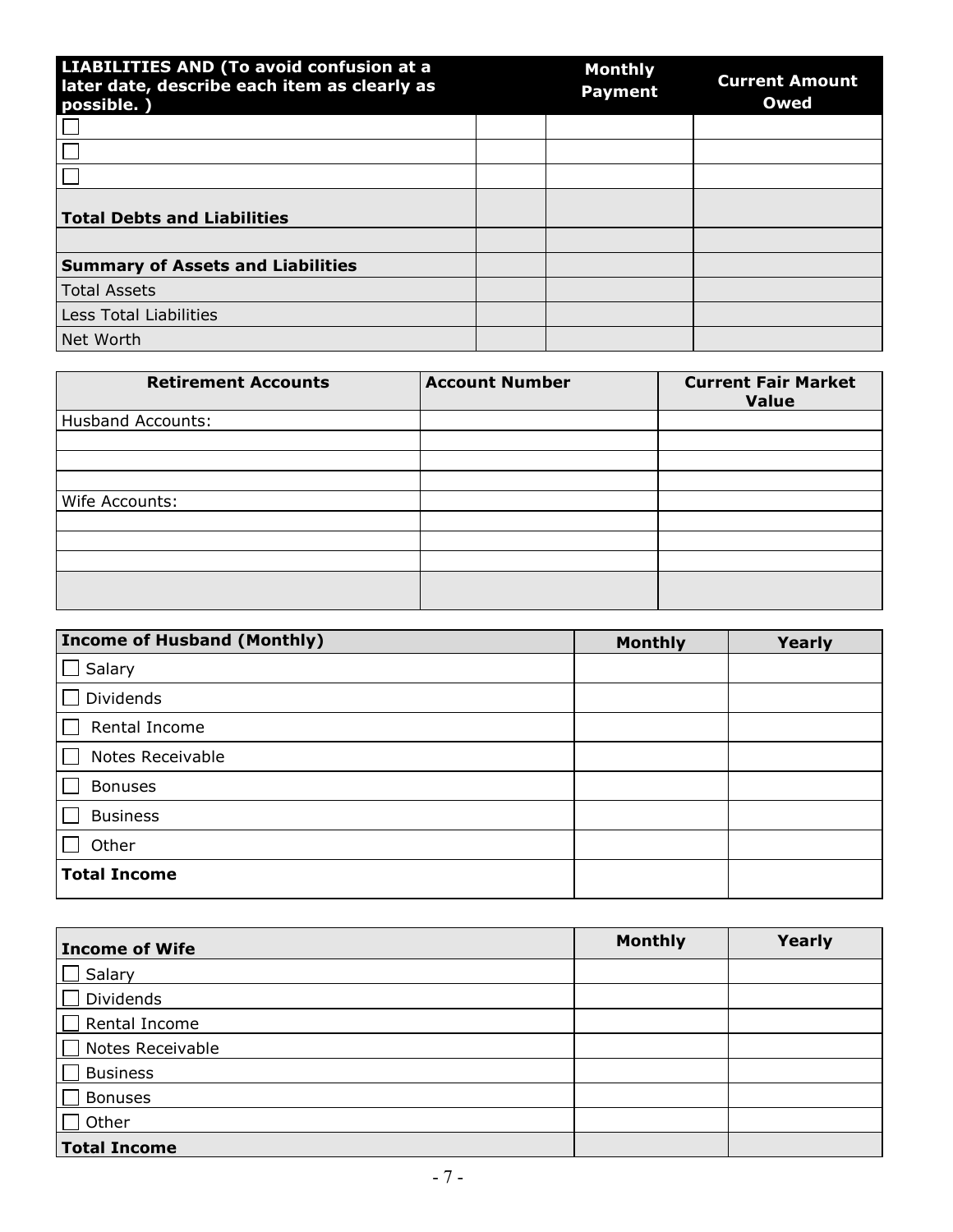| LIABILITIES AND (To avoid confusion at a<br>later date, describe each item as clearly as<br>possible.) | <b>Monthly</b><br><b>Payment</b> | <b>Current Amount</b><br>Owed |
|--------------------------------------------------------------------------------------------------------|----------------------------------|-------------------------------|
|                                                                                                        |                                  |                               |
|                                                                                                        |                                  |                               |
|                                                                                                        |                                  |                               |
| <b>Total Debts and Liabilities</b>                                                                     |                                  |                               |
|                                                                                                        |                                  |                               |
| <b>Summary of Assets and Liabilities</b>                                                               |                                  |                               |
| <b>Total Assets</b>                                                                                    |                                  |                               |
| Less Total Liabilities                                                                                 |                                  |                               |
| Net Worth                                                                                              |                                  |                               |

| <b>Account Number</b> | <b>Current Fair Market</b><br><b>Value</b> |
|-----------------------|--------------------------------------------|
|                       |                                            |
|                       |                                            |
|                       |                                            |
|                       |                                            |
|                       |                                            |
|                       |                                            |
|                       |                                            |
|                       |                                            |
|                       |                                            |
|                       |                                            |

| <b>Income of Husband (Monthly)</b> | <b>Monthly</b> | Yearly |
|------------------------------------|----------------|--------|
| Salary                             |                |        |
| <b>Dividends</b>                   |                |        |
| Rental Income                      |                |        |
| Notes Receivable                   |                |        |
| <b>Bonuses</b>                     |                |        |
| <b>Business</b>                    |                |        |
| Other                              |                |        |
| <b>Total Income</b>                |                |        |

| <b>Income of Wife</b> | <b>Monthly</b> | Yearly |
|-----------------------|----------------|--------|
| Salary                |                |        |
| Dividends             |                |        |
| Rental Income         |                |        |
| Notes Receivable      |                |        |
| <b>Business</b>       |                |        |
| <b>Bonuses</b>        |                |        |
| Other                 |                |        |
| <b>Total Income</b>   |                |        |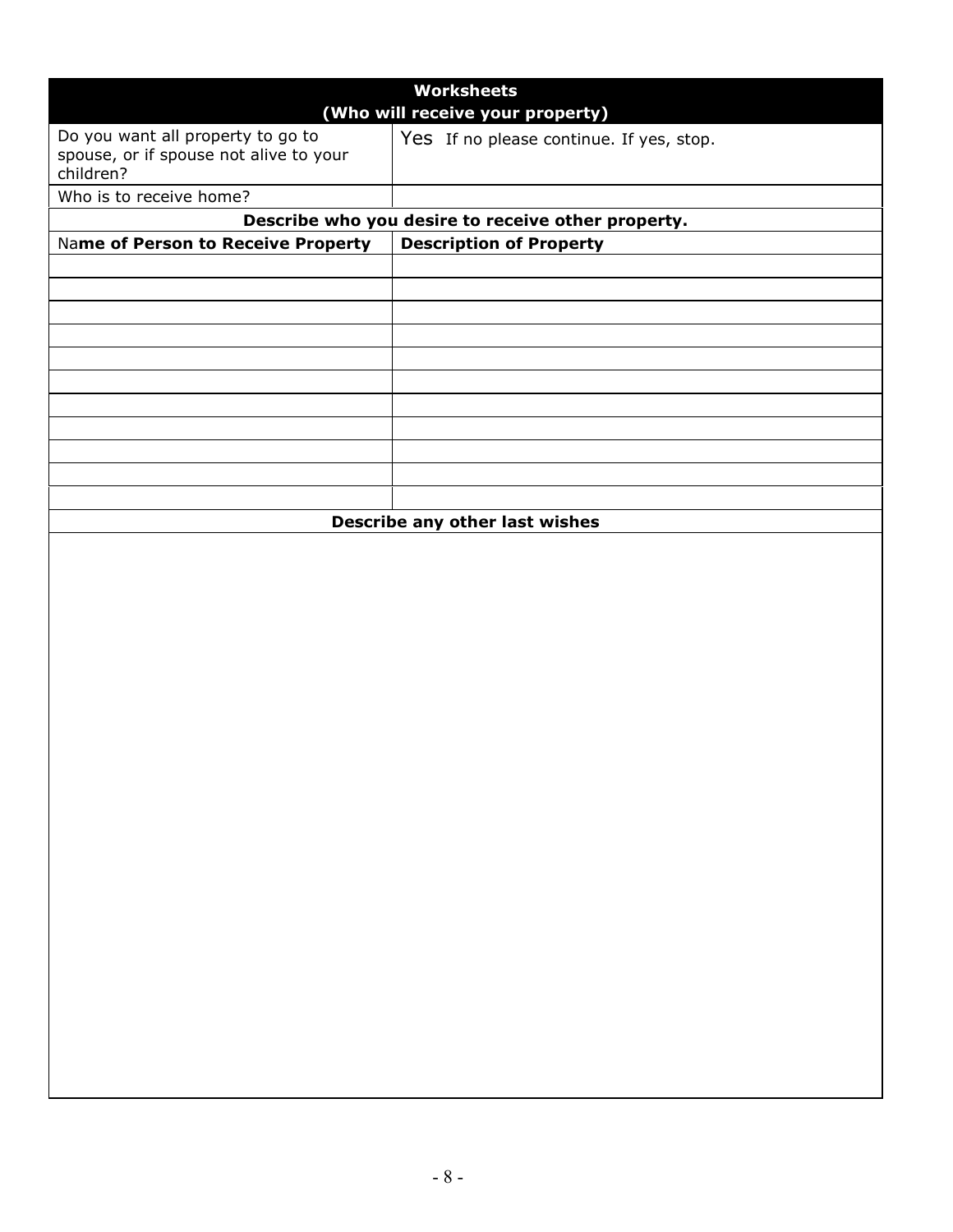|                                                     | <b>Worksheets</b>                                  |  |  |
|-----------------------------------------------------|----------------------------------------------------|--|--|
| (Who will receive your property)                    |                                                    |  |  |
| Do you want all property to go to                   | Yes If no please continue. If yes, stop.           |  |  |
| spouse, or if spouse not alive to your<br>children? |                                                    |  |  |
|                                                     |                                                    |  |  |
| Who is to receive home?                             |                                                    |  |  |
|                                                     | Describe who you desire to receive other property. |  |  |
| Name of Person to Receive Property                  | <b>Description of Property</b>                     |  |  |
|                                                     |                                                    |  |  |
|                                                     |                                                    |  |  |
|                                                     |                                                    |  |  |
|                                                     |                                                    |  |  |
|                                                     |                                                    |  |  |
|                                                     |                                                    |  |  |
|                                                     |                                                    |  |  |
|                                                     |                                                    |  |  |
|                                                     |                                                    |  |  |
|                                                     |                                                    |  |  |
|                                                     | Describe any other last wishes                     |  |  |
|                                                     |                                                    |  |  |
|                                                     |                                                    |  |  |
|                                                     |                                                    |  |  |
|                                                     |                                                    |  |  |
|                                                     |                                                    |  |  |
|                                                     |                                                    |  |  |
|                                                     |                                                    |  |  |
|                                                     |                                                    |  |  |
|                                                     |                                                    |  |  |
|                                                     |                                                    |  |  |
|                                                     |                                                    |  |  |
|                                                     |                                                    |  |  |
|                                                     |                                                    |  |  |
|                                                     |                                                    |  |  |
|                                                     |                                                    |  |  |
|                                                     |                                                    |  |  |
|                                                     |                                                    |  |  |
|                                                     |                                                    |  |  |
|                                                     |                                                    |  |  |
|                                                     |                                                    |  |  |
|                                                     |                                                    |  |  |
|                                                     |                                                    |  |  |
|                                                     |                                                    |  |  |
|                                                     |                                                    |  |  |